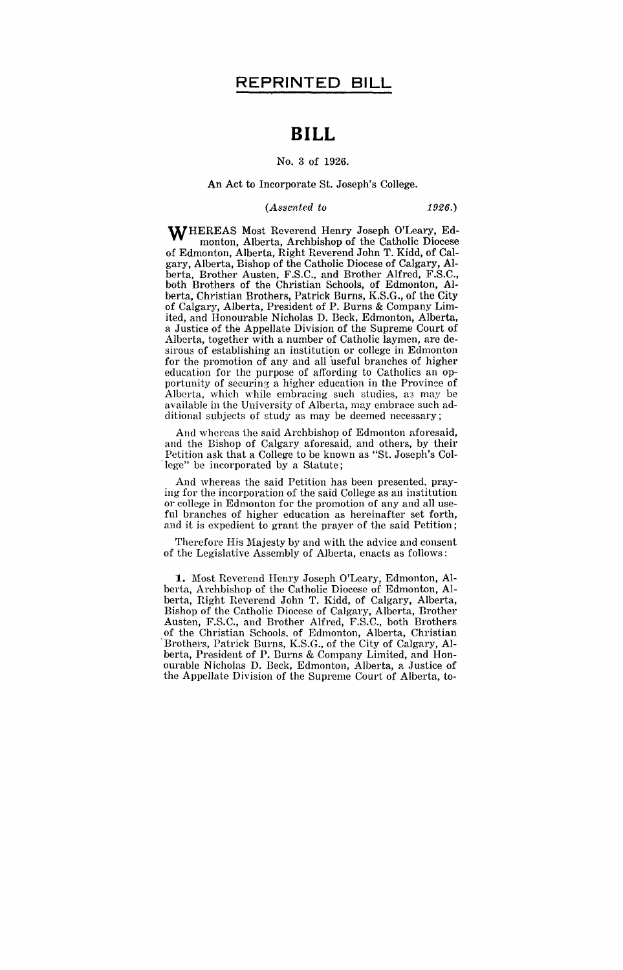# **BILL**

### No.3 of 1926.

## An Act to Incorporate St. Joseph's College.

### *(Assented to* 1926.)

WHEREAS Most Reverend Henry Joseph O'Leary, Edmonton, Alberta, Archbishop of the Catholic Diocese of Edmonton, Alberta, Right Reverend John T. Kidd, of Calgary, Alberta, Bishop of the Catholic Diocese of Calgary, Alberta, Brother Austen, F.S.C., and Brother Alfred, F.S.C., both Brothers of the Christian Schools, of Edmonton, Alberta, Christian Brothers, Patrick Burns, K.S.G., of the City of Calgary, Alberta, President of P. Burns & Company Limited, and Honourable Nicholas D. Beck, Edmonton, Alberta, a Justice of the Appellate Division of the Supreme Court of Alberta, together with a number of Catholic laymen, are desirous of establishing an institution or college in Edmonton for the promotion of any and all useful branches of higher education for the purpose of affording to Catholics an opportunity of securing a higher education in the Province of Alberta, which while embracing such studies, a3 may be available in the University of Alberta, may embrace such additional subjects of study as may be deemed necessary;

And whereas the said Archbishop of Edmonton aforesaid, and the Bishop of Calgary aforesaid, and others, by their Petition ask that a College to be known as "St. Joseph's Col lege" be incorporated by a Statute;

And whereas the said Petition has been presented, praying for the incorporation of the said College as an institution or college in Edmonton for the promotion of any and all useful branches of higher education as hereinafter set forth, and it is expedient to grant the prayer of the said Petition;

Therefore His Majesty by and with the advice and consent of the Legislative Assembly of Alberta, enacts as follows:

**1..** Most Reverend Henry Joseph O'Leary, Edmonton, Alberta, Archbishop of the Catholic Diocese of Edmonton, Alberta, Right Heverend John T. Kidd, of Calgary, Alberta, Bishop of the Catholic Diocese of Calgary, Alberta, Brother Austen, F.S.C., and Brother Alfred, F,S.C., both Brothers of the Christian Schools. of Edmonton, Alberta, Christian Brothers, Patrick Burns, K.S.G., of the City of Calgary, Alberta, President of P. Burns & Company Limited, and Honourable Nicholas D. Beck, Edmonton, Alberta, a Justice of the Appellate Division of the Supreme Court of Alberta, to-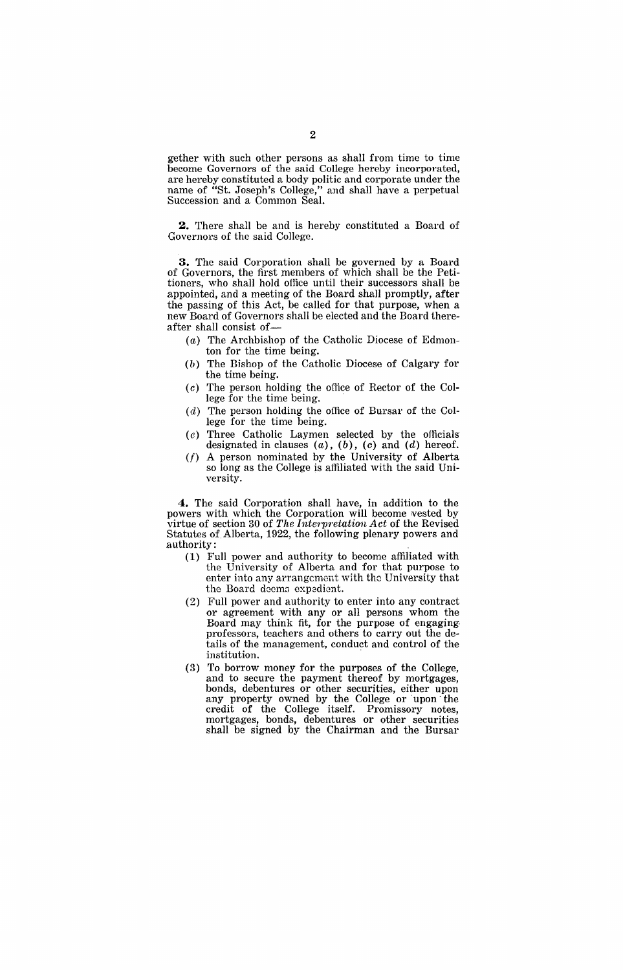gether with such other persons as shall from time to time become Governors of the said College hereby incorporated, are hereby constituted a body politic and corporate under the name of "St. Joseph's College," and shall have a perpetual Succession and a Common Seal.

**2.** There shall be and is hereby constituted a Board of Governors of the said College.

**3.** The said Corporation shall be governed by a Board of Governors, the first members of which shall be the Petitioners, who shall hold office until their successors shall be appointed, and a meeting of the Board shall promptly, after the passing of this Act, be called for that purpose, when a new Board of Governors shall be elected and the Board thereafter shall consist of-

- (a) The Archbishop of the Catholic Diocese of Edmonton for the time being.
- (b) The Bishop of the Catholic Diocese of Calgary for the time being.
- (c) The person holding the office of Rector of the College for the time being.
- $(d)$  The person holding the office of Bursar of the College for the time being.
- (e) Three Catholic Laymen selected by the officials designated in clauses  $(a)$ ,  $(b)$ ,  $(c)$  and  $(d)$  hereof.
- (f) A person nominated by the University of Alberta so long as the College is affiliated with the said University.

**4.** The said Corporation shall have, in addition to the powers with which the Corporation will become wested by virtue of section 30 of The Interpretation Act of the Revised Statutes of. Alberta, 1922, the following plenary powers and authority:

- (1) Full power and authority to become affiliated with the University of Alberta and for that purpose to enter into any arrangement with the University that the Board deems expedient.
- (2) Full power and authority to enter into any contract or agreement with any or all persons whom the Board may think fit, for the purpose of engaging. professors, teachers and others to carry out the details of the management, conduct and control of the institution. .
- (3) To borrow money for the purposes of the College, and to secure the payment thereof by mortgages, bonds, debentures or other securities, either upon any property owned by the College or upon the credit of the College itself. Promissory notes, mortgages, bonds, debentures or other securities shall be signed by the Chairman and the Bursar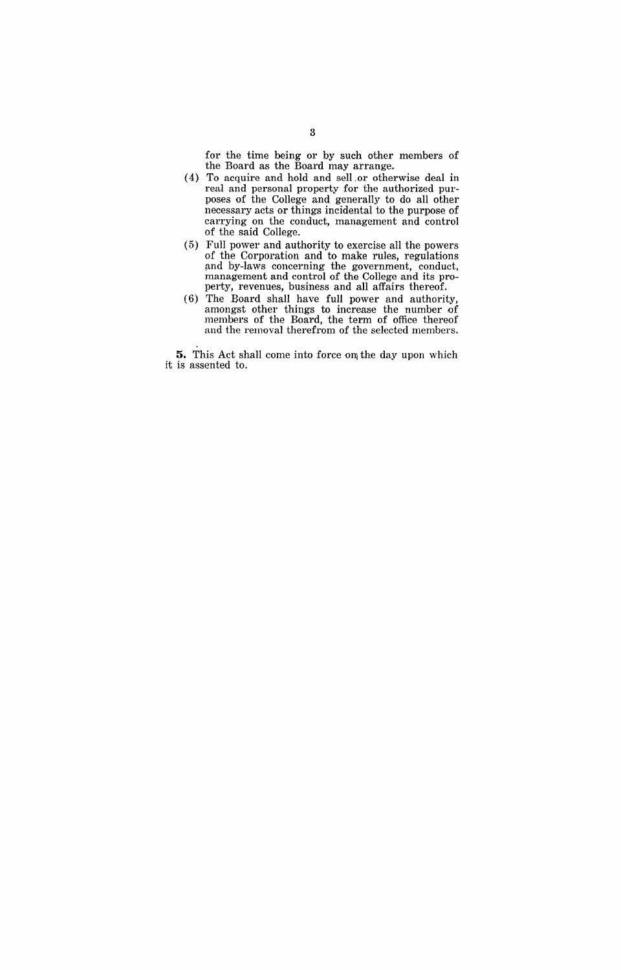for the time being or by such other members of the Board as the Board may arrange.

- (4) To acquire and hold and sell or otherwise deal in real and personal property for the authorized purposes of the College and generally to do all other necessary acts or things incidental to the purpose of carrying on the conduct, management and control of the said College.
- (5) Full power and authority to exercise all the powers of the Corporation and to make rules, regulations and by-laws concerning the government, conduct, management and control of the College and its property, revenues, business and all affairs thereof.
- (6) The Board shall have full power and authority, amongst other things to increase the number of members of the Board, the term of office thereof and the removal therefrom of the selected members.

**5.** This Act shall come into force on the day upon which it is assented to.